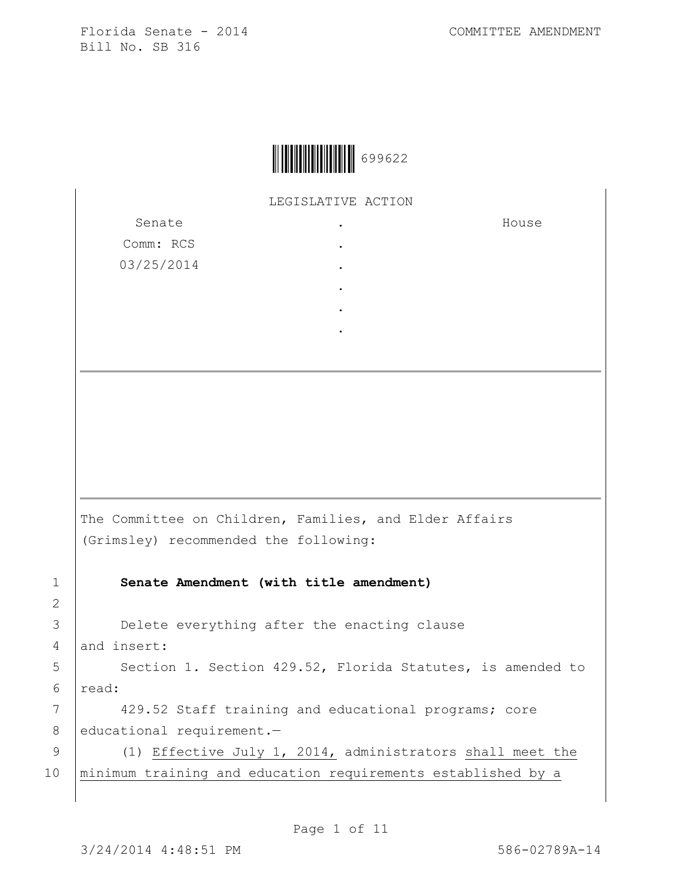

LEGISLATIVE ACTION

. . . . . .

Senate Comm: RCS 03/25/2014 House

The Committee on Children, Families, and Elder Affairs (Grimsley) recommended the following:

1 **Senate Amendment (with title amendment)**

3 **Delete everything after the enacting clause** 4 and insert:

5 | Section 1. Section 429.52, Florida Statutes, is amended to 6 read:

7 | 429.52 Staff training and educational programs; core 8 educational requirement.-

9 (1) Effective July 1, 2014, administrators shall meet the 10 minimum training and education requirements established by a

2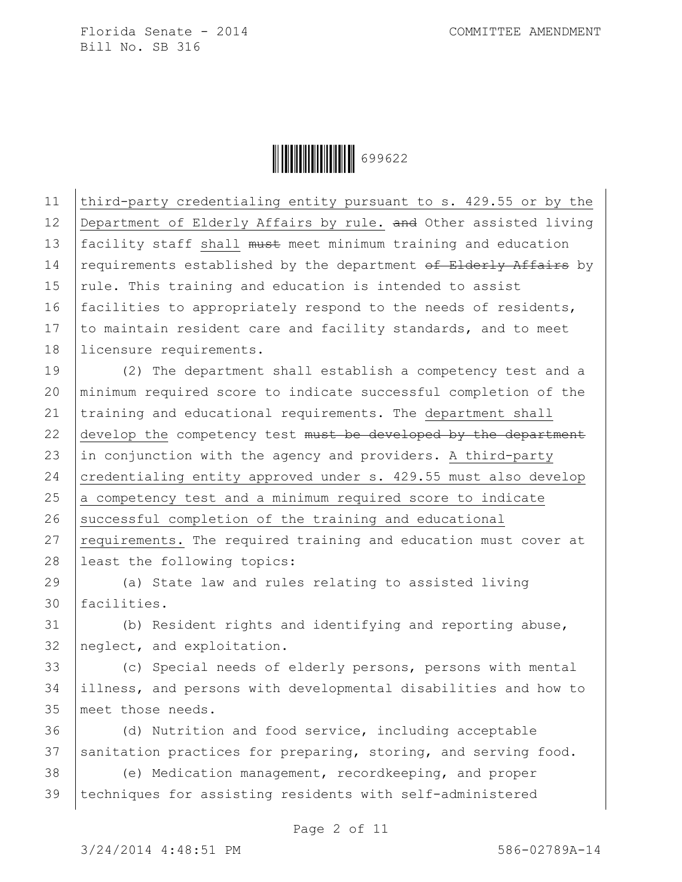Ì6996226Î699622

11 third-party credentialing entity pursuant to s. 429.55 or by the 12 Department of Elderly Affairs by rule. and Other assisted living 13 facility staff shall must meet minimum training and education  $\vert$  requirements established by the department of Elderly Affairs by  $rule.$  This training and education is intended to assist facilities to appropriately respond to the needs of residents,  $\vert$  to maintain resident care and facility standards, and to meet licensure requirements.

19 (2) The department shall establish a competency test and a 20 minimum required score to indicate successful completion of the 21 training and educational requirements. The department shall 22 develop the competency test must be developed by the department 23  $\vert$  in conjunction with the agency and providers. A third-party 24 credentialing entity approved under s. 429.55 must also develop  $25$  a competency test and a minimum required score to indicate 26 successful completion of the training and educational 27 requirements. The required training and education must cover at 28 | least the following topics:

29 (a) State law and rules relating to assisted living 30 facilities.

31 (b) Resident rights and identifying and reporting abuse, 32 neglect, and exploitation.

33 (c) Special needs of elderly persons, persons with mental 34 illness, and persons with developmental disabilities and how to 35 meet those needs.

36 (d) Nutrition and food service, including acceptable 37 sanitation practices for preparing, storing, and serving food.

38 (e) Medication management, recordkeeping, and proper 39 techniques for assisting residents with self-administered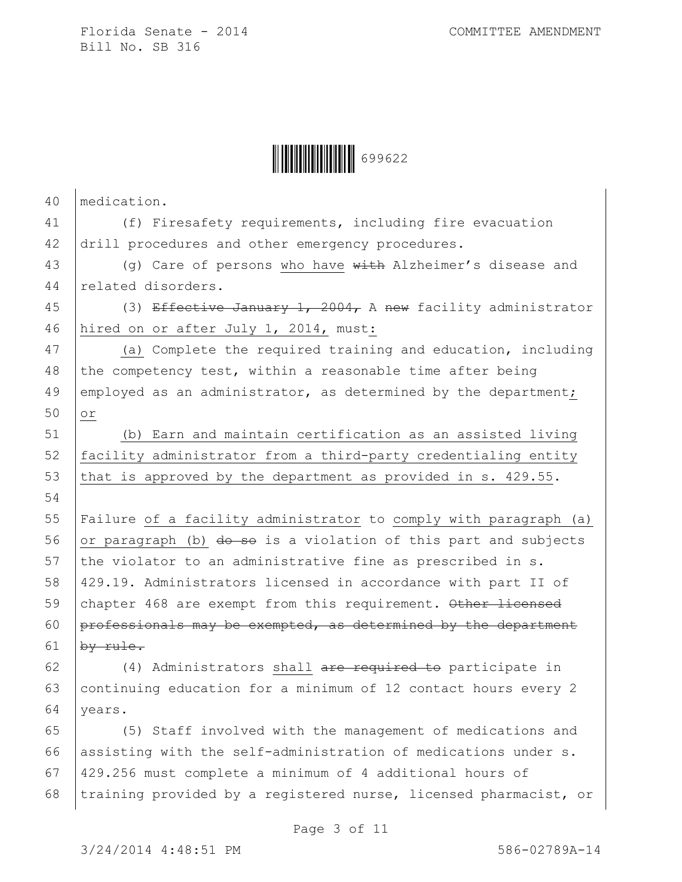

| 40 | medication.                                                                   |
|----|-------------------------------------------------------------------------------|
| 41 | (f) Firesafety requirements, including fire evacuation                        |
| 42 | drill procedures and other emergency procedures.                              |
| 43 | (q) Care of persons who have $\overline{\text{with}}$ Alzheimer's disease and |
| 44 | related disorders.                                                            |
| 45 | (3) Effective January 1, 2004, A new facility administrator                   |
| 46 | hired on or after July 1, 2014, must:                                         |
| 47 | (a) Complete the required training and education, including                   |
| 48 | the competency test, within a reasonable time after being                     |
| 49 | employed as an administrator, as determined by the department;                |
| 50 | $\circ$ r                                                                     |
| 51 | (b) Earn and maintain certification as an assisted living                     |
| 52 | facility administrator from a third-party credentialing entity                |
| 53 | that is approved by the department as provided in s. 429.55.                  |
| 54 |                                                                               |
| 55 | Failure of a facility administrator to comply with paragraph (a)              |
| 56 | or paragraph (b) do so is a violation of this part and subjects               |
| 57 | the violator to an administrative fine as prescribed in s.                    |
| 58 | 429.19. Administrators licensed in accordance with part II of                 |
| 59 | chapter 468 are exempt from this requirement. Other licensed                  |
| 60 | professionals may be exempted, as determined by the department                |
| 61 | by rule.                                                                      |
| 62 | (4) Administrators shall are required to participate in                       |
| 63 | continuing education for a minimum of 12 contact hours every 2                |
| 64 | years.                                                                        |
| 65 | (5) Staff involved with the management of medications and                     |
| 66 | assisting with the self-administration of medications under s.                |
| 67 | 429.256 must complete a minimum of 4 additional hours of                      |
| 68 | training provided by a registered nurse, licensed pharmacist, or              |
|    |                                                                               |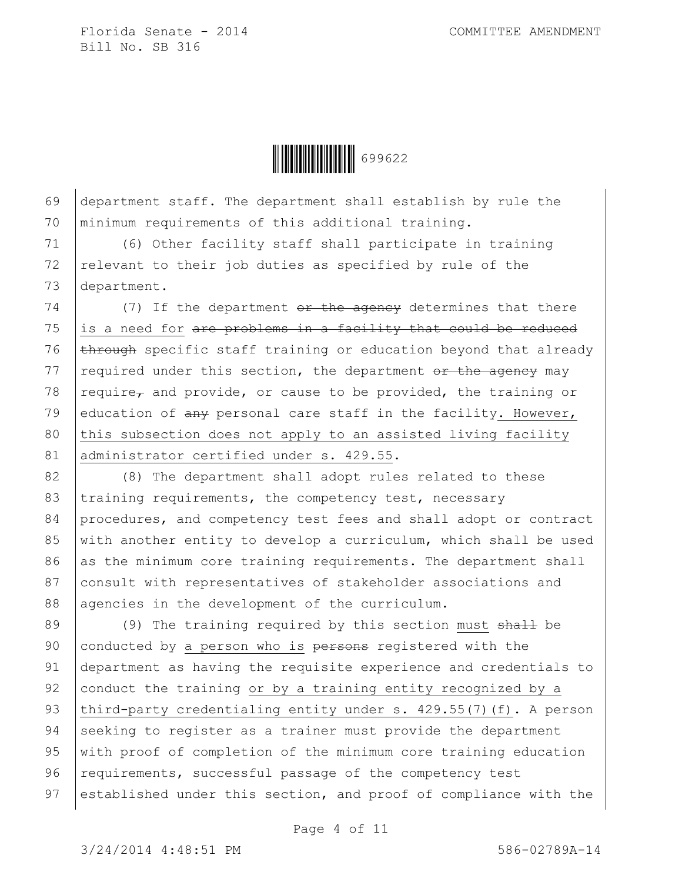

69 department staff. The department shall establish by rule the 70 minimum requirements of this additional training.

71 (6) Other facility staff shall participate in training 72 relevant to their job duties as specified by rule of the 73 department.

 $74$  (7) If the department  $\theta$ r the agency determines that there 75 is a need for  $are$  problems in a facility that could be reduced 76  $\epsilon$  through specific staff training or education beyond that already 77  $\vert$  required under this section, the department or the agency may 78  $reguire<sub>r</sub>$  and provide, or cause to be provided, the training or 79 education of  $\frac{any}{any}$  personal care staff in the facility. However, 80 this subsection does not apply to an assisted living facility 81 administrator certified under s. 429.55.

82 (8) The department shall adopt rules related to these 83 training requirements, the competency test, necessary 84 procedures, and competency test fees and shall adopt or contract 85 with another entity to develop a curriculum, which shall be used  $86$  as the minimum core training requirements. The department shall 87 consult with representatives of stakeholder associations and 88 agencies in the development of the curriculum.

89  $(9)$  The training required by this section must shall be 90 conducted by a person who is persons registered with the 91 department as having the requisite experience and credentials to 92 conduct the training or by a training entity recognized by a 93 third-party credentialing entity under s. 429.55(7)(f). A person 94 Seeking to register as a trainer must provide the department 95 with proof of completion of the minimum core training education 96 requirements, successful passage of the competency test 97 established under this section, and proof of compliance with the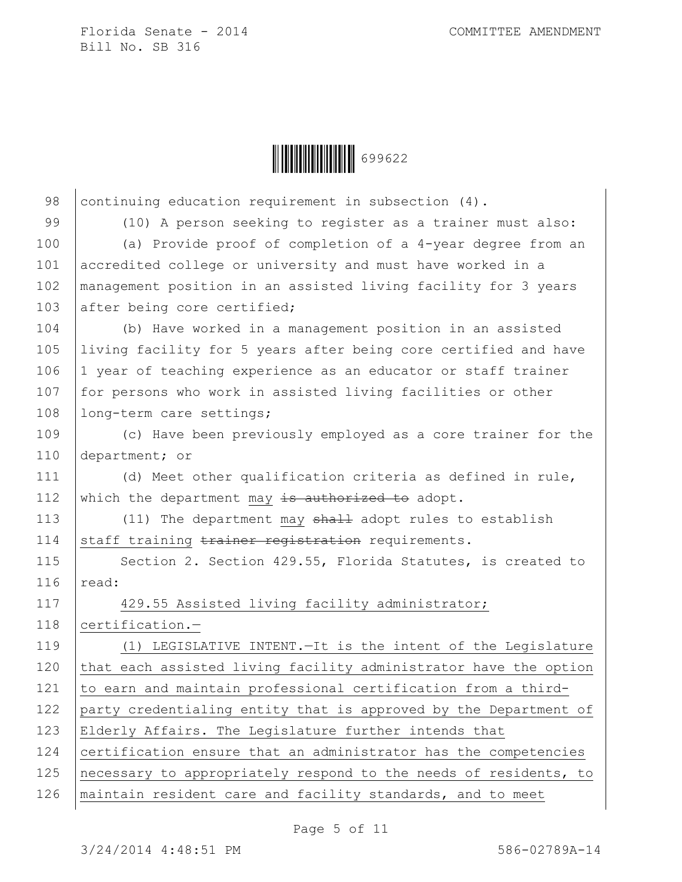$\begin{array}{|c|c|c|c|c|}\hline \multicolumn{1}{|c|}{\textbf{||}}{\textbf{||}}{\textbf{||}}{\textbf{||}}{\textbf{||}}{\textbf{||}}{\textbf{||}}{\textbf{||}}{\textbf{||}}{\textbf{||}}{\textbf{||}}{\textbf{||}}{\textbf{||}}{\textbf{||}}{\textbf{||}}{\textbf{||}}{\textbf{||}}{\textbf{||}}{\textbf{||}}{\textbf{||}}{\textbf{||}}{\textbf{||}}{\textbf{||}}{\textbf{||}}{\textbf{||}}{\textbf{||}}{\textbf{||}}{\textbf{||}}{\textbf{||}}{\textbf{||}}{\textbf{||}}{\textbf{$ 

98 continuing education requirement in subsection (4). 99 (10) A person seeking to register as a trainer must also: 100 (a) Provide proof of completion of a 4-year degree from an 101 accredited college or university and must have worked in a 102 management position in an assisted living facility for 3 years 103 after being core certified; 104 (b) Have worked in a management position in an assisted 105 living facility for 5 years after being core certified and have 106 1 year of teaching experience as an educator or staff trainer 107 for persons who work in assisted living facilities or other 108 | long-term care settings; 109 (c) Have been previously employed as a core trainer for the 110 department; or 111 (d) Meet other qualification criteria as defined in rule, 112 which the department may is authorized to adopt. 113 (11) The department may shall adopt rules to establish 114 staff training trainer registration requirements. 115 | Section 2. Section 429.55, Florida Statutes, is created to  $116$  read: 117 | 429.55 Assisted living facility administrator; 118 certification.-119 (1) LEGISLATIVE INTENT.—It is the intent of the Legislature 120 that each assisted living facility administrator have the option 121 to earn and maintain professional certification from a third-122 party credentialing entity that is approved by the Department of 123 Elderly Affairs. The Legislature further intends that 124 certification ensure that an administrator has the competencies 125 necessary to appropriately respond to the needs of residents, to 126 | maintain resident care and facility standards, and to meet

Page 5 of 11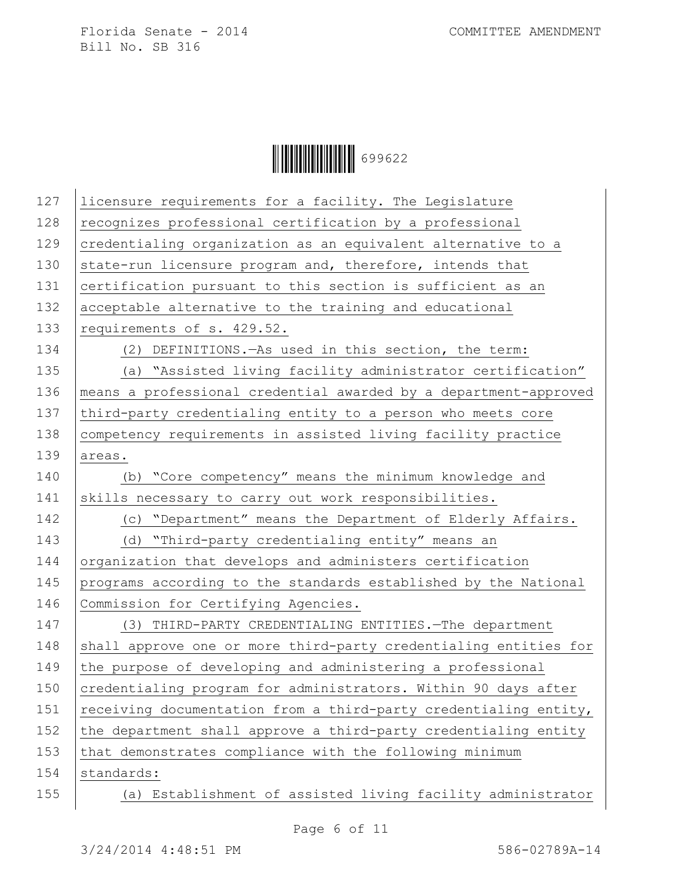$\begin{array}{|c|c|c|c|c|}\hline \multicolumn{1}{|}{\textbf{1}} & \multicolumn{1}{|}{\textbf{1}} & \multicolumn{1}{|}{\textbf{1}} & \multicolumn{1}{|}{\textbf{1}} & \multicolumn{1}{|}{\textbf{1}} & \multicolumn{1}{|}{\textbf{1}} & \multicolumn{1}{|}{\textbf{1}} & \multicolumn{1}{|}{\textbf{1}} & \multicolumn{1}{|}{\textbf{1}} & \multicolumn{1}{|}{\textbf{1}} & \multicolumn{1}{|}{\textbf{1}} & \multicolumn{1}{|}{\textbf{1}} & \multicolumn{1}{|}{$ 

| licensure requirements for a facility. The Legislature           |
|------------------------------------------------------------------|
| recognizes professional certification by a professional          |
| credentialing organization as an equivalent alternative to a     |
| state-run licensure program and, therefore, intends that         |
| certification pursuant to this section is sufficient as an       |
| acceptable alternative to the training and educational           |
| requirements of s. 429.52.                                       |
| (2) DEFINITIONS. As used in this section, the term:              |
| (a) "Assisted living facility administrator certification"       |
| means a professional credential awarded by a department-approved |
| third-party credentialing entity to a person who meets core      |
| competency requirements in assisted living facility practice     |
| areas.                                                           |
| (b) "Core competency" means the minimum knowledge and            |
| skills necessary to carry out work responsibilities.             |
| (c) "Department" means the Department of Elderly Affairs.        |
| (d) "Third-party credentialing entity" means an                  |
| organization that develops and administers certification         |
| programs according to the standards established by the National  |
| Commission for Certifying Agencies.                              |
| (3) THIRD-PARTY CREDENTIALING ENTITIES. The department           |
| shall approve one or more third-party credentialing entities for |
| the purpose of developing and administering a professional       |
| credentialing program for administrators. Within 90 days after   |
| receiving documentation from a third-party credentialing entity, |
| the department shall approve a third-party credentialing entity  |
| that demonstrates compliance with the following minimum          |
| standards:                                                       |
| (a) Establishment of assisted living facility administrator      |
|                                                                  |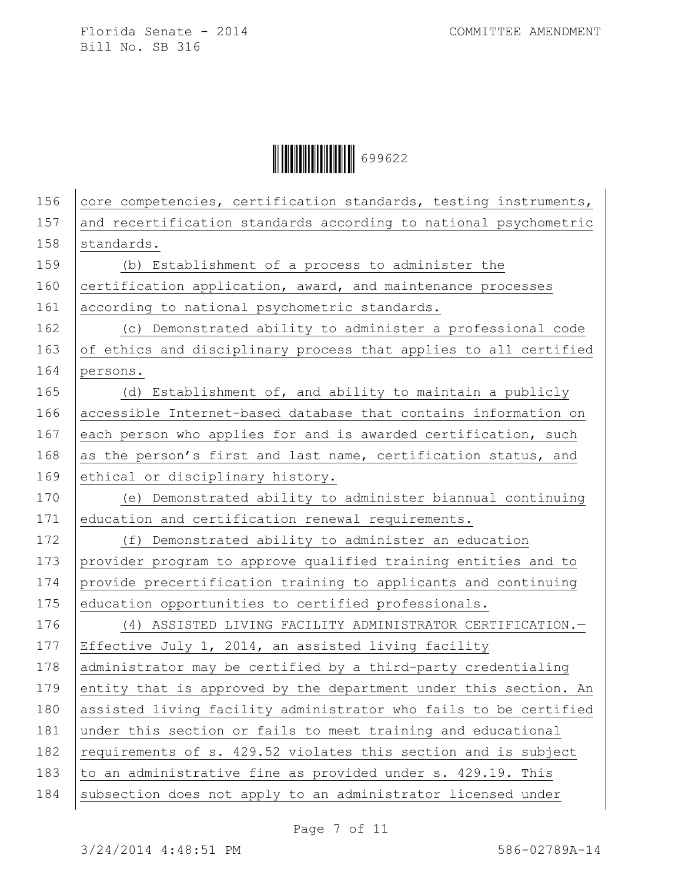

| 156 | core competencies, certification standards, testing instruments, |
|-----|------------------------------------------------------------------|
| 157 | and recertification standards according to national psychometric |
| 158 | standards.                                                       |
| 159 | (b) Establishment of a process to administer the                 |
| 160 | certification application, award, and maintenance processes      |
| 161 | according to national psychometric standards.                    |
| 162 | (c) Demonstrated ability to administer a professional code       |
| 163 | of ethics and disciplinary process that applies to all certified |
| 164 | persons.                                                         |
| 165 | (d) Establishment of, and ability to maintain a publicly         |
| 166 | accessible Internet-based database that contains information on  |
| 167 | each person who applies for and is awarded certification, such   |
| 168 | as the person's first and last name, certification status, and   |
| 169 | ethical or disciplinary history.                                 |
| 170 | (e) Demonstrated ability to administer biannual continuing       |
| 171 | education and certification renewal requirements.                |
| 172 | (f) Demonstrated ability to administer an education              |
| 173 | provider program to approve qualified training entities and to   |
| 174 | provide precertification training to applicants and continuing   |
| 175 | education opportunities to certified professionals.              |
| 176 | (4) ASSISTED LIVING FACILITY ADMINISTRATOR CERTIFICATION.-       |
| 177 | Effective July 1, 2014, an assisted living facility              |
| 178 | administrator may be certified by a third-party credentialing    |
| 179 | entity that is approved by the department under this section. An |
| 180 | assisted living facility administrator who fails to be certified |
| 181 | under this section or fails to meet training and educational     |
| 182 | requirements of s. 429.52 violates this section and is subject   |
| 183 | to an administrative fine as provided under s. 429.19. This      |
| 184 | subsection does not apply to an administrator licensed under     |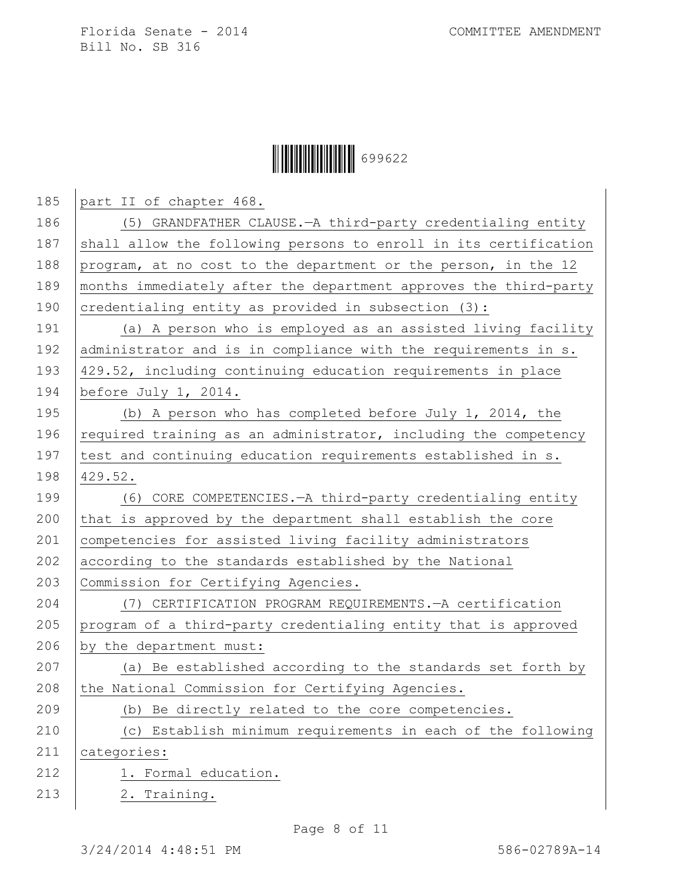## $\begin{array}{|c|c|c|c|c|}\hline \multicolumn{1}{|}{\textbf{1}} & \multicolumn{1}{|}{\textbf{1}} & \multicolumn{1}{|}{\textbf{1}} & \multicolumn{1}{|}{\textbf{1}} & \multicolumn{1}{|}{\textbf{1}} & \multicolumn{1}{|}{\textbf{1}} & \multicolumn{1}{|}{\textbf{1}} & \multicolumn{1}{|}{\textbf{1}} & \multicolumn{1}{|}{\textbf{1}} & \multicolumn{1}{|}{\textbf{1}} & \multicolumn{1}{|}{\textbf{1}} & \multicolumn{1}{|}{\textbf{1}} & \multicolumn{1}{|}{$

| 185 | part II of chapter 468.                                          |
|-----|------------------------------------------------------------------|
| 186 | (5) GRANDFATHER CLAUSE. - A third-party credentialing entity     |
| 187 | shall allow the following persons to enroll in its certification |
| 188 | program, at no cost to the department or the person, in the 12   |
| 189 | months immediately after the department approves the third-party |
| 190 | credentialing entity as provided in subsection (3):              |
| 191 | (a) A person who is employed as an assisted living facility      |
| 192 | administrator and is in compliance with the requirements in s.   |
| 193 | 429.52, including continuing education requirements in place     |
| 194 | before July 1, 2014.                                             |
| 195 | (b) A person who has completed before July 1, 2014, the          |
| 196 | required training as an administrator, including the competency  |
| 197 | test and continuing education requirements established in s.     |
| 198 | 429.52.                                                          |
| 199 | (6) CORE COMPETENCIES. - A third-party credentialing entity      |
| 200 | that is approved by the department shall establish the core      |
| 201 | competencies for assisted living facility administrators         |
| 202 | according to the standards established by the National           |
| 203 | Commission for Certifying Agencies.                              |
| 204 | (7) CERTIFICATION PROGRAM REQUIREMENTS. - A certification        |
| 205 | program of a third-party credentialing entity that is approved   |
| 206 | by the department must:                                          |
| 207 | (a) Be established according to the standards set forth by       |
| 208 | the National Commission for Certifying Agencies.                 |
| 209 | Be directly related to the core competencies.<br>(b)             |
| 210 | (c) Establish minimum requirements in each of the following      |
| 211 | categories:                                                      |
| 212 | 1. Formal education.                                             |
| 213 | 2. Training.                                                     |
|     |                                                                  |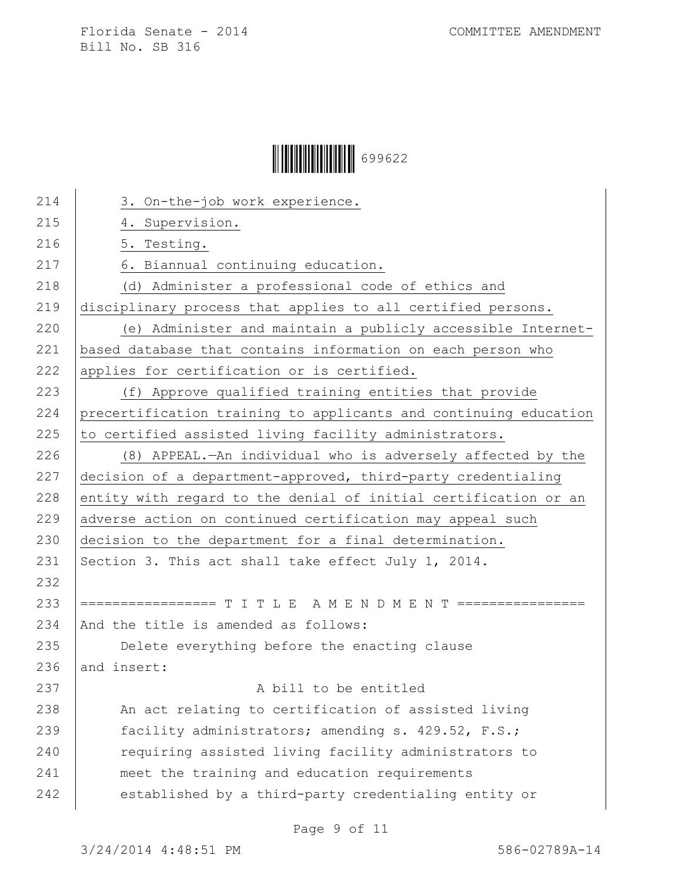## $\begin{array}{|c|c|c|c|c|}\hline \multicolumn{1}{|}{\textbf{1}} & \multicolumn{1}{|}{\textbf{1}} & \multicolumn{1}{|}{\textbf{1}} & \multicolumn{1}{|}{\textbf{1}} & \multicolumn{1}{|}{\textbf{1}} & \multicolumn{1}{|}{\textbf{1}} & \multicolumn{1}{|}{\textbf{1}} & \multicolumn{1}{|}{\textbf{1}} & \multicolumn{1}{|}{\textbf{1}} & \multicolumn{1}{|}{\textbf{1}} & \multicolumn{1}{|}{\textbf{1}} & \multicolumn{1}{|}{\textbf{1}} & \multicolumn{1}{|}{$

| 214 | 3. On-the-job work experience.                                   |
|-----|------------------------------------------------------------------|
| 215 | 4. Supervision.                                                  |
| 216 | 5. Testing.                                                      |
| 217 | 6. Biannual continuing education.                                |
| 218 | (d) Administer a professional code of ethics and                 |
| 219 | disciplinary process that applies to all certified persons.      |
| 220 | (e) Administer and maintain a publicly accessible Internet-      |
| 221 | based database that contains information on each person who      |
| 222 | applies for certification or is certified.                       |
| 223 | (f) Approve qualified training entities that provide             |
| 224 | precertification training to applicants and continuing education |
| 225 | to certified assisted living facility administrators.            |
| 226 | (8) APPEAL. - An individual who is adversely affected by the     |
| 227 | decision of a department-approved, third-party credentialing     |
| 228 | entity with regard to the denial of initial certification or an  |
| 229 | adverse action on continued certification may appeal such        |
| 230 | decision to the department for a final determination.            |
| 231 | Section 3. This act shall take effect July 1, 2014.              |
| 232 |                                                                  |
| 233 | ================= T I T L E A M E N D M E N T ==========         |
| 234 | And the title is amended as follows:                             |
| 235 | Delete everything before the enacting clause                     |
| 236 | and insert:                                                      |
| 237 | A bill to be entitled                                            |
| 238 | An act relating to certification of assisted living              |
| 239 | facility administrators; amending s. 429.52, F.S.;               |
| 240 | requiring assisted living facility administrators to             |
| 241 | meet the training and education requirements                     |
| 242 | established by a third-party credentialing entity or             |
|     |                                                                  |

Page 9 of 11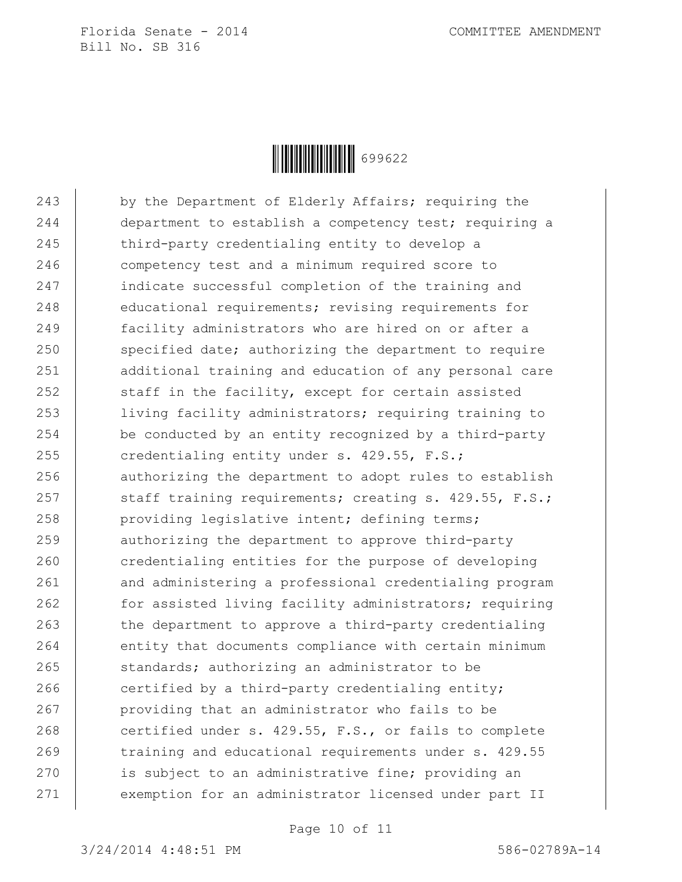

243 by the Department of Elderly Affairs; requiring the 244 department to establish a competency test; requiring a 245 third-party credentialing entity to develop a 246 | competency test and a minimum required score to 247 | indicate successful completion of the training and 248 educational requirements; revising requirements for 249 **facility administrators who are hired on or after a** 250 specified date; authorizing the department to require 251 additional training and education of any personal care 252  $\vert$  staff in the facility, except for certain assisted 253 | living facility administrators; requiring training to 254 be conducted by an entity recognized by a third-party 255 credentialing entity under s.  $429.55$ , F.S.; 256 authorizing the department to adopt rules to establish 257 Staff training requirements; creating s. 429.55, F.S.; 258 providing legislative intent; defining terms; 259 authorizing the department to approve third-party 260 credentialing entities for the purpose of developing 261 and administering a professional credentialing program 262 | for assisted living facility administrators; requiring  $263$  the department to approve a third-party credentialing 264 entity that documents compliance with certain minimum 265 standards; authorizing an administrator to be  $266$  certified by a third-party credentialing entity; 267 providing that an administrator who fails to be 268 certified under s. 429.55, F.S., or fails to complete 269 training and educational requirements under s. 429.55 270 is subject to an administrative fine; providing an 271 exemption for an administrator licensed under part II

Page 10 of 11